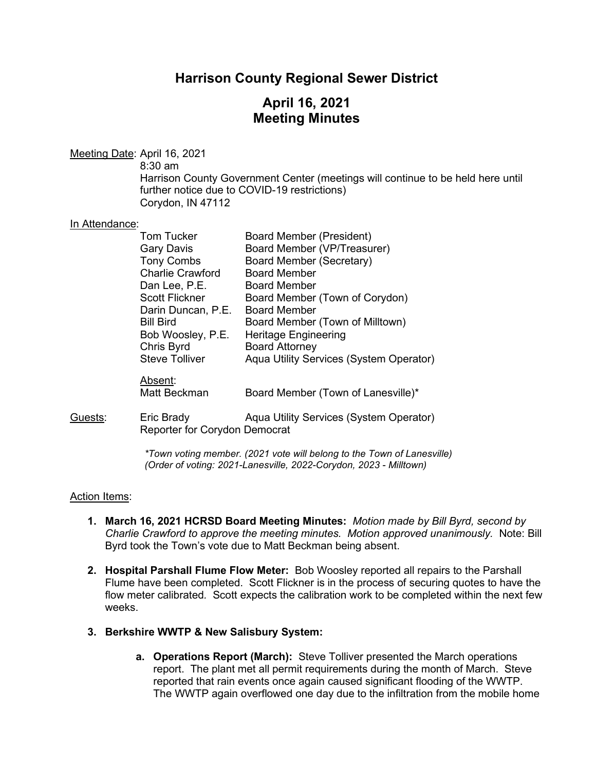## **Harrison County Regional Sewer District**

## **April 16, 2021 Meeting Minutes**

Meeting Date: April 16, 2021

8:30 am

Harrison County Government Center (meetings will continue to be held here until further notice due to COVID-19 restrictions) Corydon, IN 47112

### In Attendance:

| <b>Tom Tucker</b>                           | Board Member (President)                |
|---------------------------------------------|-----------------------------------------|
| <b>Gary Davis</b>                           | Board Member (VP/Treasurer)             |
| <b>Tony Combs</b>                           | <b>Board Member (Secretary)</b>         |
| <b>Charlie Crawford</b>                     | <b>Board Member</b>                     |
| Dan Lee, P.E.                               | <b>Board Member</b>                     |
| <b>Scott Flickner</b>                       | Board Member (Town of Corydon)          |
| Darin Duncan, P.E.                          | <b>Board Member</b>                     |
| <b>Bill Bird</b>                            | Board Member (Town of Milltown)         |
| Bob Woosley, P.E.                           | <b>Heritage Engineering</b>             |
|                                             | <b>Board Attorney</b>                   |
| <b>Steve Tolliver</b>                       | Aqua Utility Services (System Operator) |
|                                             |                                         |
| Matt Beckman                                | Board Member (Town of Lanesville)*      |
| Eric Brady<br>Reporter for Corydon Democrat | Aqua Utility Services (System Operator) |
|                                             | Chris Byrd<br>Absent:                   |

*\*Town voting member. (2021 vote will belong to the Town of Lanesville) (Order of voting: 2021-Lanesville, 2022-Corydon, 2023 - Milltown)*

### Action Items:

- **1. March 16, 2021 HCRSD Board Meeting Minutes:** *Motion made by Bill Byrd, second by Charlie Crawford to approve the meeting minutes. Motion approved unanimously.* Note: Bill Byrd took the Town's vote due to Matt Beckman being absent.
- **2. Hospital Parshall Flume Flow Meter:** Bob Woosley reported all repairs to the Parshall Flume have been completed. Scott Flickner is in the process of securing quotes to have the flow meter calibrated*.* Scott expects the calibration work to be completed within the next few weeks.
- **3. Berkshire WWTP & New Salisbury System:**
	- **a. Operations Report (March):** Steve Tolliver presented the March operations report. The plant met all permit requirements during the month of March. Steve reported that rain events once again caused significant flooding of the WWTP. The WWTP again overflowed one day due to the infiltration from the mobile home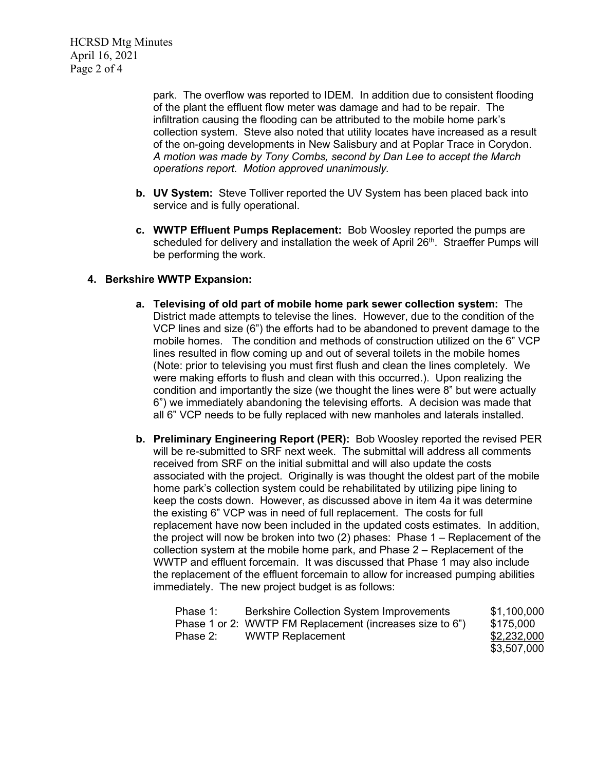HCRSD Mtg Minutes April 16, 2021 Page 2 of 4

> park. The overflow was reported to IDEM. In addition due to consistent flooding of the plant the effluent flow meter was damage and had to be repair. The infiltration causing the flooding can be attributed to the mobile home park's collection system. Steve also noted that utility locates have increased as a result of the on-going developments in New Salisbury and at Poplar Trace in Corydon. *A motion was made by Tony Combs, second by Dan Lee to accept the March operations report. Motion approved unanimously.*

- **b. UV System:** Steve Tolliver reported the UV System has been placed back into service and is fully operational.
- **c. WWTP Effluent Pumps Replacement:** Bob Woosley reported the pumps are scheduled for delivery and installation the week of April 26<sup>th</sup>. Straeffer Pumps will be performing the work.

## **4. Berkshire WWTP Expansion:**

- **a. Televising of old part of mobile home park sewer collection system:** The District made attempts to televise the lines. However, due to the condition of the VCP lines and size (6") the efforts had to be abandoned to prevent damage to the mobile homes. The condition and methods of construction utilized on the 6" VCP lines resulted in flow coming up and out of several toilets in the mobile homes (Note: prior to televising you must first flush and clean the lines completely. We were making efforts to flush and clean with this occurred.). Upon realizing the condition and importantly the size (we thought the lines were 8" but were actually 6") we immediately abandoning the televising efforts. A decision was made that all 6" VCP needs to be fully replaced with new manholes and laterals installed.
- **b. Preliminary Engineering Report (PER):** Bob Woosley reported the revised PER will be re-submitted to SRF next week. The submittal will address all comments received from SRF on the initial submittal and will also update the costs associated with the project. Originally is was thought the oldest part of the mobile home park's collection system could be rehabilitated by utilizing pipe lining to keep the costs down. However, as discussed above in item 4a it was determine the existing 6" VCP was in need of full replacement. The costs for full replacement have now been included in the updated costs estimates. In addition, the project will now be broken into two  $(2)$  phases: Phase  $1 -$  Replacement of the collection system at the mobile home park, and Phase 2 – Replacement of the WWTP and effluent forcemain. It was discussed that Phase 1 may also include the replacement of the effluent forcemain to allow for increased pumping abilities immediately. The new project budget is as follows:

| Phase 1: | <b>Berkshire Collection System Improvements</b>          | \$1,100,000 |
|----------|----------------------------------------------------------|-------------|
|          | Phase 1 or 2: WWTP FM Replacement (increases size to 6") | \$175,000   |
| Phase 2: | <b>WWTP Replacement</b>                                  | \$2,232,000 |
|          |                                                          | \$3,507,000 |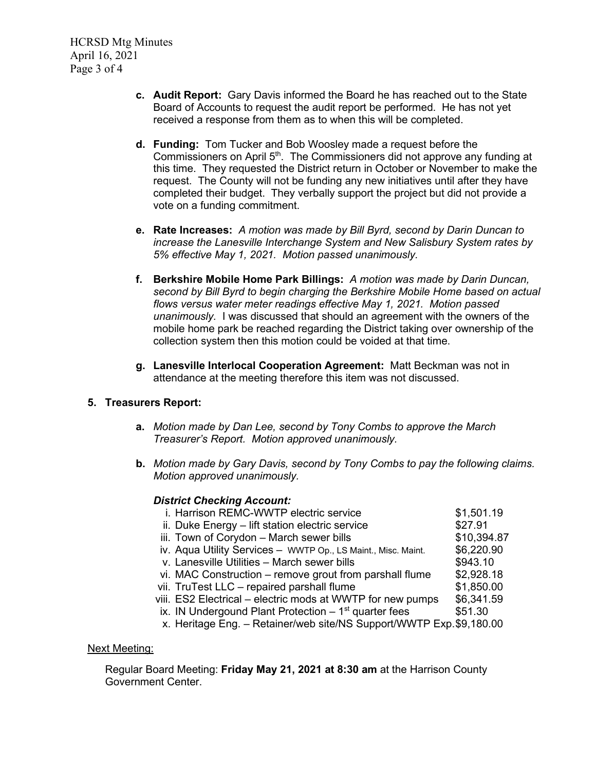HCRSD Mtg Minutes April 16, 2021 Page 3 of 4

- **c. Audit Report:** Gary Davis informed the Board he has reached out to the State Board of Accounts to request the audit report be performed. He has not yet received a response from them as to when this will be completed.
- **d. Funding:**Tom Tucker and Bob Woosley made a request before the Commissioners on April 5th. The Commissioners did not approve any funding at this time. They requested the District return in October or November to make the request. The County will not be funding any new initiatives until after they have completed their budget. They verbally support the project but did not provide a vote on a funding commitment.
- **e. Rate Increases:** *A motion was made by Bill Byrd, second by Darin Duncan to increase the Lanesville Interchange System and New Salisbury System rates by 5% effective May 1, 2021. Motion passed unanimously.*
- **f. Berkshire Mobile Home Park Billings:** *A motion was made by Darin Duncan, second by Bill Byrd to begin charging the Berkshire Mobile Home based on actual flows versus water meter readings effective May 1, 2021. Motion passed unanimously.* I was discussed that should an agreement with the owners of the mobile home park be reached regarding the District taking over ownership of the collection system then this motion could be voided at that time.
- **g. Lanesville Interlocal Cooperation Agreement:** Matt Beckman was not in attendance at the meeting therefore this item was not discussed.

## **5. Treasurers Report:**

- **a.** *Motion made by Dan Lee, second by Tony Combs to approve the March Treasurer's Report. Motion approved unanimously.*
- **b.** *Motion made by Gary Davis, second by Tony Combs to pay the following claims. Motion approved unanimously.*

### *District Checking Account:*

| i. Harrison REMC-WWTP electric service                              | \$1,501.19  |
|---------------------------------------------------------------------|-------------|
| ii. Duke Energy - lift station electric service                     | \$27.91     |
| iii. Town of Corydon - March sewer bills                            | \$10,394.87 |
| iv. Aqua Utility Services - WWTP Op., LS Maint., Misc. Maint.       | \$6,220.90  |
| v. Lanesville Utilities - March sewer bills                         | \$943.10    |
| vi. MAC Construction – remove grout from parshall flume             | \$2,928.18  |
| vii. TruTest LLC - repaired parshall flume                          | \$1,850.00  |
| viii. ES2 Electrical – electric mods at WWTP for new pumps          | \$6,341.59  |
| ix. IN Undergound Plant Protection $-1st$ quarter fees              | \$51.30     |
| x. Heritage Eng. - Retainer/web site/NS Support/WWTP Exp.\$9,180.00 |             |

### Next Meeting:

Regular Board Meeting: **Friday May 21, 2021 at 8:30 am** at the Harrison County Government Center.